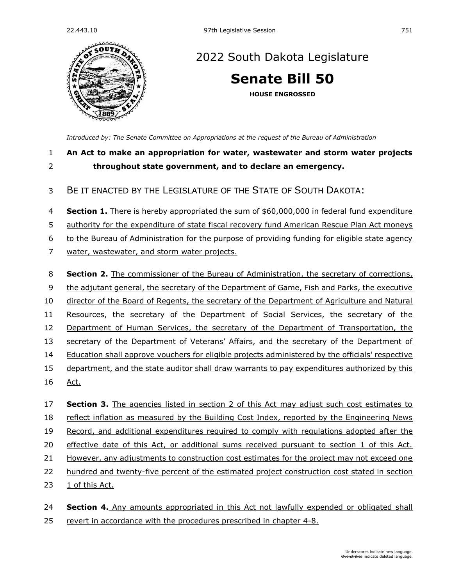

## [2022 South Dakota Legislature](https://sdlegislature.gov/Session/Bills/64)

**[Senate Bill 50](https://sdlegislature.gov/Session/Bill/23014)**

**HOUSE ENGROSSED**

*[Introduced by: The Senate Committee on Appropriations](https://sdlegislature.gov/Session/Committee/1023/Detail) at the request of the Bureau of Administration*

## **An Act to make an appropriation for water, wastewater and storm water projects throughout state government, and to declare an emergency.**

## BE IT ENACTED BY THE LEGISLATURE OF THE STATE OF SOUTH DAKOTA:

**Section 1.** There is hereby appropriated the sum of \$60,000,000 in federal fund expenditure

authority for the expenditure of state fiscal recovery fund American Rescue Plan Act moneys

to the Bureau of Administration for the purpose of providing funding for eligible state agency

- water, wastewater, and storm water projects.
- **Section 2.** The commissioner of the Bureau of Administration, the secretary of corrections, the adjutant general, the secretary of the Department of Game, Fish and Parks, the executive 10 director of the Board of Regents, the secretary of the Department of Agriculture and Natural Resources, the secretary of the Department of Social Services, the secretary of the Department of Human Services, the secretary of the Department of Transportation, the secretary of the Department of Veterans' Affairs, and the secretary of the Department of Education shall approve vouchers for eligible projects administered by the officials' respective department, and the state auditor shall draw warrants to pay expenditures authorized by this Act. **Section 3.** The agencies listed in section 2 of this Act may adjust such cost estimates to
- reflect inflation as measured by the Building Cost Index, reported by the Engineering News Record, and additional expenditures required to comply with regulations adopted after the effective date of this Act, or additional sums received pursuant to section 1 of this Act. However, any adjustments to construction cost estimates for the project may not exceed one
- hundred and twenty-five percent of the estimated project construction cost stated in section
- 1 of this Act.

 **Section 4.** Any amounts appropriated in this Act not lawfully expended or obligated shall revert in accordance with the procedures prescribed in chapter [4-8.](https://sdlegislature.gov/Statutes?Statute=4-8)